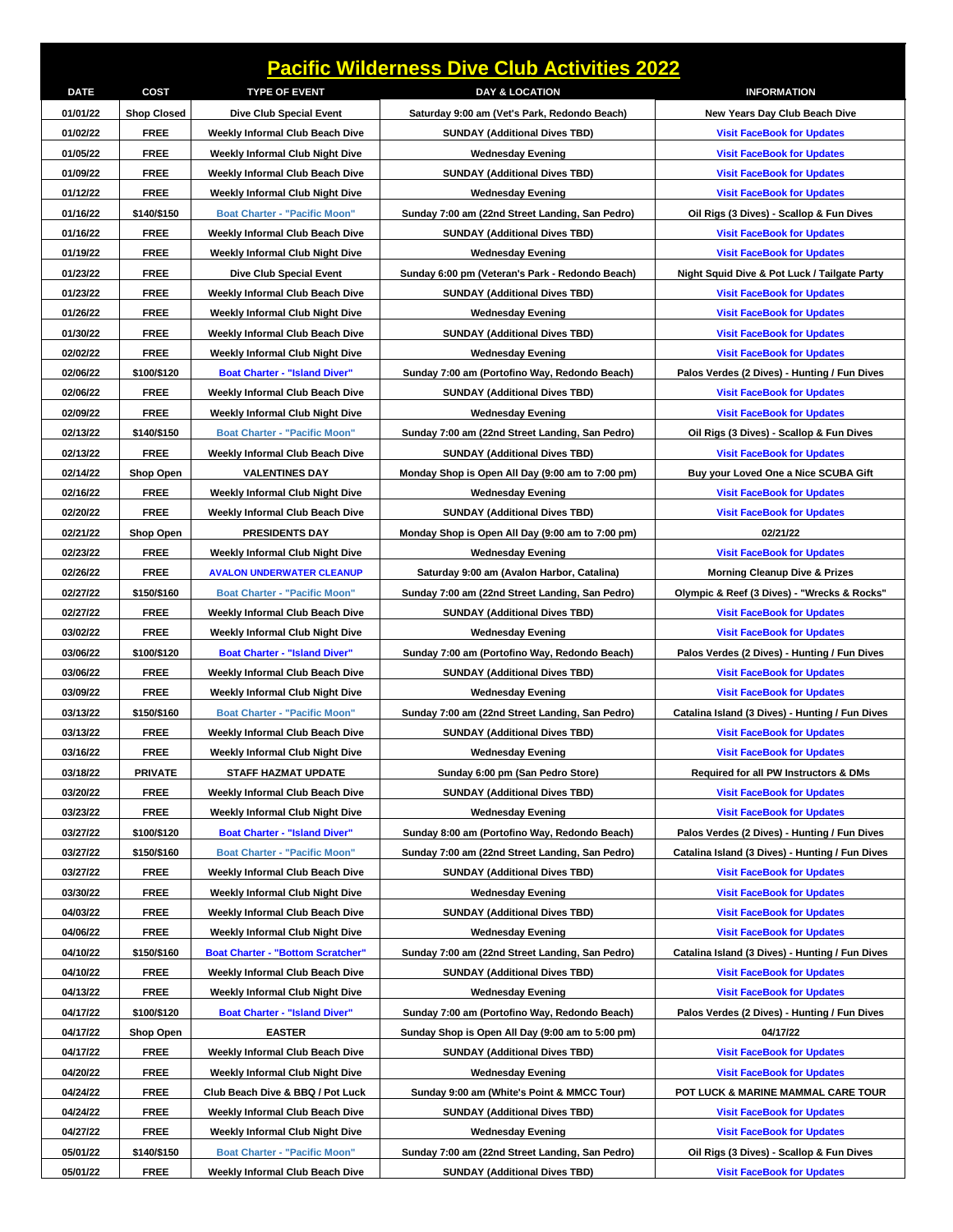| <b>Pacific Wilderness Dive Club Activities 2022</b> |                    |                                          |                                                                           |                                                 |  |  |  |
|-----------------------------------------------------|--------------------|------------------------------------------|---------------------------------------------------------------------------|-------------------------------------------------|--|--|--|
| <b>DATE</b>                                         | COST               | <b>TYPE OF EVENT</b>                     | <b>DAY &amp; LOCATION</b>                                                 | <b>INFORMATION</b>                              |  |  |  |
| 01/01/22                                            | <b>Shop Closed</b> | <b>Dive Club Special Event</b>           | Saturday 9:00 am (Vet's Park, Redondo Beach)                              | New Years Day Club Beach Dive                   |  |  |  |
| 01/02/22                                            | <b>FREE</b>        | Weekly Informal Club Beach Dive          | <b>SUNDAY (Additional Dives TBD)</b>                                      | <b>Visit FaceBook for Updates</b>               |  |  |  |
| 01/05/22                                            | <b>FREE</b>        | <b>Weekly Informal Club Night Dive</b>   | <b>Wednesday Evening</b>                                                  | <b>Visit FaceBook for Updates</b>               |  |  |  |
| 01/09/22                                            | <b>FREE</b>        | Weekly Informal Club Beach Dive          | <b>SUNDAY (Additional Dives TBD)</b>                                      | <b>Visit FaceBook for Updates</b>               |  |  |  |
| 01/12/22                                            | <b>FREE</b>        | Weekly Informal Club Night Dive          | <b>Wednesday Evening</b>                                                  | <b>Visit FaceBook for Updates</b>               |  |  |  |
| 01/16/22                                            | \$140/\$150        | <b>Boat Charter - "Pacific Moon"</b>     | Sunday 7:00 am (22nd Street Landing, San Pedro)                           | Oil Rigs (3 Dives) - Scallop & Fun Dives        |  |  |  |
| 01/16/22                                            | <b>FREE</b>        | Weekly Informal Club Beach Dive          | <b>SUNDAY (Additional Dives TBD)</b>                                      | <b>Visit FaceBook for Updates</b>               |  |  |  |
| 01/19/22                                            | <b>FREE</b>        | <b>Weekly Informal Club Night Dive</b>   | <b>Wednesday Evening</b>                                                  | <b>Visit FaceBook for Updates</b>               |  |  |  |
| 01/23/22                                            | <b>FREE</b>        | Dive Club Special Event                  | Sunday 6:00 pm (Veteran's Park - Redondo Beach)                           | Night Squid Dive & Pot Luck / Tailgate Party    |  |  |  |
| 01/23/22                                            | <b>FREE</b>        | Weekly Informal Club Beach Dive          | <b>SUNDAY (Additional Dives TBD)</b>                                      | <b>Visit FaceBook for Updates</b>               |  |  |  |
| 01/26/22                                            | <b>FREE</b>        | <b>Weekly Informal Club Night Dive</b>   | <b>Wednesday Evening</b>                                                  | <b>Visit FaceBook for Updates</b>               |  |  |  |
| 01/30/22                                            | <b>FREE</b>        | Weekly Informal Club Beach Dive          | <b>SUNDAY (Additional Dives TBD)</b>                                      | <b>Visit FaceBook for Updates</b>               |  |  |  |
| 02/02/22                                            | <b>FREE</b>        | <b>Weekly Informal Club Night Dive</b>   | <b>Wednesday Evening</b>                                                  | <b>Visit FaceBook for Updates</b>               |  |  |  |
| 02/06/22                                            | \$100/\$120        | <b>Boat Charter - "Island Diver"</b>     | Sunday 7:00 am (Portofino Way, Redondo Beach)                             | Palos Verdes (2 Dives) - Hunting / Fun Dives    |  |  |  |
| 02/06/22                                            | <b>FREE</b>        | Weekly Informal Club Beach Dive          | <b>SUNDAY (Additional Dives TBD)</b>                                      | <b>Visit FaceBook for Updates</b>               |  |  |  |
| 02/09/22                                            | <b>FREE</b>        | Weekly Informal Club Night Dive          | <b>Wednesday Evening</b>                                                  | <b>Visit FaceBook for Updates</b>               |  |  |  |
| 02/13/22                                            | \$140/\$150        | <b>Boat Charter - "Pacific Moon"</b>     | Sunday 7:00 am (22nd Street Landing, San Pedro)                           | Oil Rigs (3 Dives) - Scallop & Fun Dives        |  |  |  |
| 02/13/22                                            | <b>FREE</b>        | Weekly Informal Club Beach Dive          | <b>SUNDAY (Additional Dives TBD)</b>                                      | <b>Visit FaceBook for Updates</b>               |  |  |  |
| 02/14/22                                            | Shop Open          | <b>VALENTINES DAY</b>                    | Monday Shop is Open All Day (9:00 am to 7:00 pm)                          | Buy your Loved One a Nice SCUBA Gift            |  |  |  |
| 02/16/22                                            | <b>FREE</b>        | <b>Weekly Informal Club Night Dive</b>   | <b>Wednesday Evening</b>                                                  | <b>Visit FaceBook for Updates</b>               |  |  |  |
| 02/20/22                                            | <b>FREE</b>        | Weekly Informal Club Beach Dive          | <b>SUNDAY (Additional Dives TBD)</b>                                      | <b>Visit FaceBook for Updates</b>               |  |  |  |
| 02/21/22                                            | <b>Shop Open</b>   | <b>PRESIDENTS DAY</b>                    | Monday Shop is Open All Day (9:00 am to 7:00 pm)                          | 02/21/22                                        |  |  |  |
| 02/23/22                                            | <b>FREE</b>        | Weekly Informal Club Night Dive          | <b>Wednesday Evening</b>                                                  | <b>Visit FaceBook for Updates</b>               |  |  |  |
| 02/26/22                                            | <b>FREE</b>        | <b>AVALON UNDERWATER CLEANUP</b>         | Saturday 9:00 am (Avalon Harbor, Catalina)                                | <b>Morning Cleanup Dive &amp; Prizes</b>        |  |  |  |
| 02/27/22                                            | \$150/\$160        | <b>Boat Charter - "Pacific Moon"</b>     | Sunday 7:00 am (22nd Street Landing, San Pedro)                           | Olympic & Reef (3 Dives) - "Wrecks & Rocks"     |  |  |  |
| 02/27/22                                            | <b>FREE</b>        | Weekly Informal Club Beach Dive          | <b>SUNDAY (Additional Dives TBD)</b>                                      | <b>Visit FaceBook for Updates</b>               |  |  |  |
| 03/02/22                                            | <b>FREE</b>        | Weekly Informal Club Night Dive          | <b>Wednesday Evening</b>                                                  | <b>Visit FaceBook for Updates</b>               |  |  |  |
| 03/06/22                                            | \$100/\$120        | <b>Boat Charter - "Island Diver"</b>     | Sunday 7:00 am (Portofino Way, Redondo Beach)                             | Palos Verdes (2 Dives) - Hunting / Fun Dives    |  |  |  |
| 03/06/22                                            | <b>FREE</b>        | Weekly Informal Club Beach Dive          | <b>SUNDAY (Additional Dives TBD)</b>                                      | <b>Visit FaceBook for Updates</b>               |  |  |  |
| 03/09/22                                            | <b>FREE</b>        | Weekly Informal Club Night Dive          | <b>Wednesday Evening</b>                                                  | <b>Visit FaceBook for Updates</b>               |  |  |  |
| 03/13/22                                            | \$150/\$160        | <b>Boat Charter - "Pacific Moon"</b>     | Sunday 7:00 am (22nd Street Landing, San Pedro)                           | Catalina Island (3 Dives) - Hunting / Fun Dives |  |  |  |
| 03/13/22                                            | <b>FREE</b>        | Weekly Informal Club Beach Dive          | <b>SUNDAY (Additional Dives TBD)</b>                                      | <b>Visit FaceBook for Updates</b>               |  |  |  |
| 03/16/22                                            | <b>FREE</b>        | Weekly Informal Club Night Dive          | <b>Wednesday Evening</b>                                                  | <b>Visit FaceBook for Updates</b>               |  |  |  |
| 03/18/22                                            | PRIVATE            | STAFF HAZMAT UPDATE                      | Sunday 6:00 pm (San Pedro Store)                                          | Required for all PW Instructors & DMs           |  |  |  |
| 03/20/22                                            | <b>FREE</b>        | Weekly Informal Club Beach Dive          | <b>SUNDAY (Additional Dives TBD)</b>                                      | <b>Visit FaceBook for Updates</b>               |  |  |  |
| 03/23/22                                            | <b>FREE</b>        | <b>Weekly Informal Club Night Dive</b>   |                                                                           | <b>Visit FaceBook for Updates</b>               |  |  |  |
| 03/27/22                                            | \$100/\$120        |                                          | <b>Wednesday Evening</b><br>Sunday 8:00 am (Portofino Way, Redondo Beach) |                                                 |  |  |  |
|                                                     |                    | Boat Charter - "Island Diver"            |                                                                           | Palos Verdes (2 Dives) - Hunting / Fun Dives    |  |  |  |
| 03/27/22                                            | \$150/\$160        | <b>Boat Charter - "Pacific Moon"</b>     | Sunday 7:00 am (22nd Street Landing, San Pedro)                           | Catalina Island (3 Dives) - Hunting / Fun Dives |  |  |  |
| 03/27/22<br>03/30/22                                | <b>FREE</b>        | Weekly Informal Club Beach Dive          | <b>SUNDAY (Additional Dives TBD)</b>                                      | <b>Visit FaceBook for Updates</b>               |  |  |  |
|                                                     | <b>FREE</b>        | <b>Weekly Informal Club Night Dive</b>   | <b>Wednesday Evening</b><br><b>SUNDAY (Additional Dives TBD)</b>          | <b>Visit FaceBook for Updates</b>               |  |  |  |
| 04/03/22                                            | <b>FREE</b>        | Weekly Informal Club Beach Dive          |                                                                           | <b>Visit FaceBook for Updates</b>               |  |  |  |
| 04/06/22                                            | <b>FREE</b>        | Weekly Informal Club Night Dive          | <b>Wednesday Evening</b>                                                  | <b>Visit FaceBook for Updates</b>               |  |  |  |
| 04/10/22                                            | \$150/\$160        | <b>Boat Charter - "Bottom Scratcher"</b> | Sunday 7:00 am (22nd Street Landing, San Pedro)                           | Catalina Island (3 Dives) - Hunting / Fun Dives |  |  |  |
| 04/10/22                                            | <b>FREE</b>        | Weekly Informal Club Beach Dive          | <b>SUNDAY (Additional Dives TBD)</b>                                      | <b>Visit FaceBook for Updates</b>               |  |  |  |
| 04/13/22                                            | <b>FREE</b>        | Weekly Informal Club Night Dive          | <b>Wednesday Evening</b>                                                  | <b>Visit FaceBook for Updates</b>               |  |  |  |
| 04/17/22                                            | \$100/\$120        | <b>Boat Charter - "Island Diver"</b>     | Sunday 7:00 am (Portofino Way, Redondo Beach)                             | Palos Verdes (2 Dives) - Hunting / Fun Dives    |  |  |  |
| 04/17/22                                            | Shop Open          | <b>EASTER</b>                            | Sunday Shop is Open All Day (9:00 am to 5:00 pm)                          | 04/17/22                                        |  |  |  |
| 04/17/22                                            | <b>FREE</b>        | Weekly Informal Club Beach Dive          | <b>SUNDAY (Additional Dives TBD)</b>                                      | <b>Visit FaceBook for Updates</b>               |  |  |  |
| 04/20/22                                            | <b>FREE</b>        | Weekly Informal Club Night Dive          | <b>Wednesday Evening</b>                                                  | <b>Visit FaceBook for Updates</b>               |  |  |  |
| 04/24/22                                            | <b>FREE</b>        | Club Beach Dive & BBQ / Pot Luck         | Sunday 9:00 am (White's Point & MMCC Tour)                                | POT LUCK & MARINE MAMMAL CARE TOUR              |  |  |  |
| 04/24/22                                            | <b>FREE</b>        | Weekly Informal Club Beach Dive          | SUNDAY (Additional Dives TBD)                                             | <b>Visit FaceBook for Updates</b>               |  |  |  |
| 04/27/22                                            | <b>FREE</b>        | Weekly Informal Club Night Dive          | <b>Wednesday Evening</b>                                                  | <b>Visit FaceBook for Updates</b>               |  |  |  |
| 05/01/22                                            | \$140/\$150        | <b>Boat Charter - "Pacific Moon"</b>     | Sunday 7:00 am (22nd Street Landing, San Pedro)                           | Oil Rigs (3 Dives) - Scallop & Fun Dives        |  |  |  |
| 05/01/22                                            | <b>FREE</b>        | Weekly Informal Club Beach Dive          | <b>SUNDAY (Additional Dives TBD)</b>                                      | <b>Visit FaceBook for Updates</b>               |  |  |  |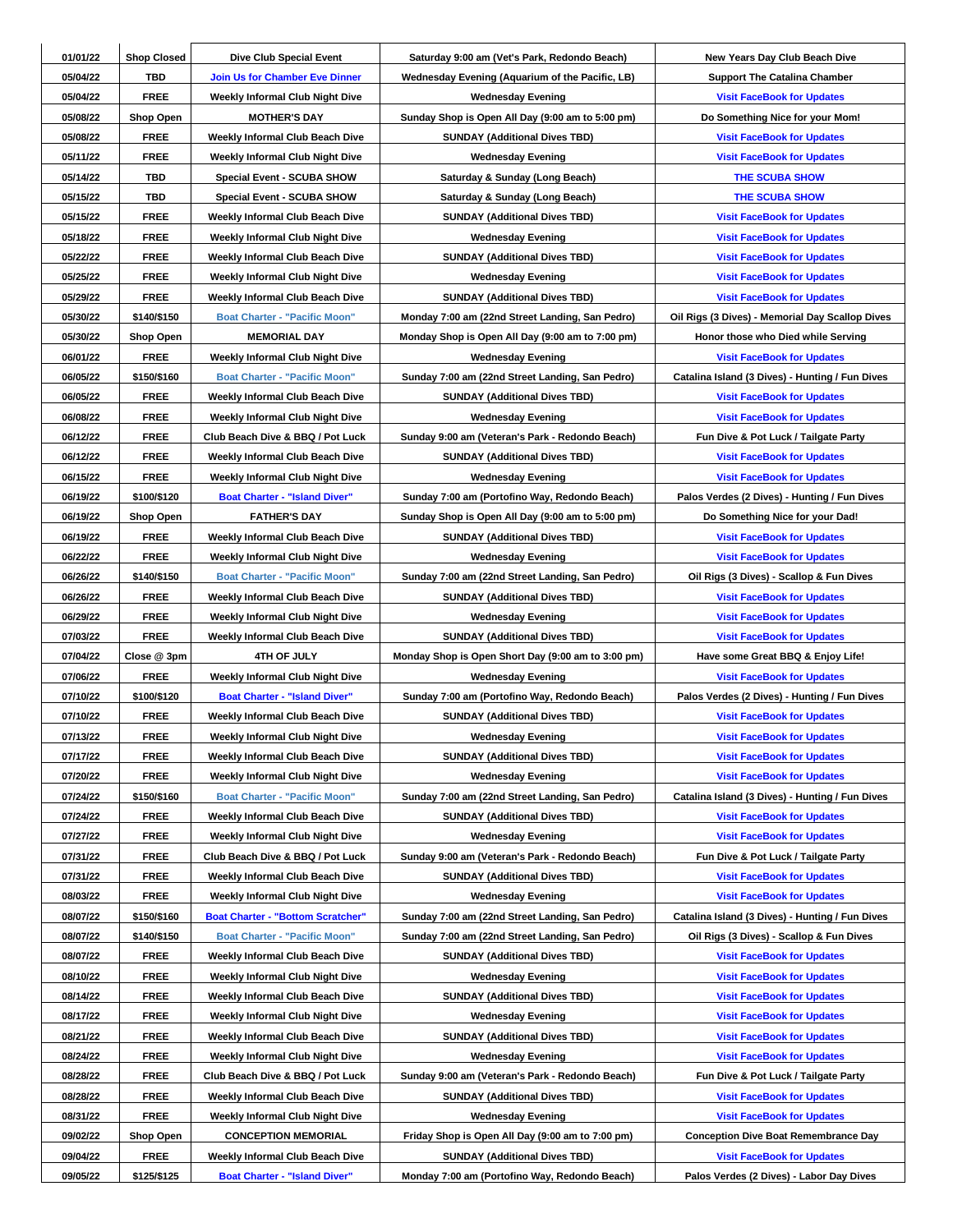| 01/01/22             | <b>Shop Closed</b> | Dive Club Special Event                  | Saturday 9:00 am (Vet's Park, Redondo Beach)       | New Years Day Club Beach Dive                                          |
|----------------------|--------------------|------------------------------------------|----------------------------------------------------|------------------------------------------------------------------------|
| 05/04/22             | <b>TBD</b>         | <b>Join Us for Chamber Eve Dinner</b>    | Wednesday Evening (Aquarium of the Pacific, LB)    | <b>Support The Catalina Chamber</b>                                    |
| 05/04/22             | <b>FREE</b>        | <b>Weekly Informal Club Night Dive</b>   | <b>Wednesday Evening</b>                           | <b>Visit FaceBook for Updates</b>                                      |
| 05/08/22             | <b>Shop Open</b>   | <b>MOTHER'S DAY</b>                      | Sunday Shop is Open All Day (9:00 am to 5:00 pm)   | Do Something Nice for your Mom!                                        |
| 05/08/22             | <b>FREE</b>        | Weekly Informal Club Beach Dive          | <b>SUNDAY (Additional Dives TBD)</b>               | <b>Visit FaceBook for Updates</b>                                      |
| 05/11/22             | <b>FREE</b>        | <b>Weekly Informal Club Night Dive</b>   | <b>Wednesday Evening</b>                           | <b>Visit FaceBook for Updates</b>                                      |
| 05/14/22             | TBD                | <b>Special Event - SCUBA SHOW</b>        | Saturday & Sunday (Long Beach)                     | <b>THE SCUBA SHOW</b>                                                  |
| 05/15/22             | TBD                | <b>Special Event - SCUBA SHOW</b>        | Saturday & Sunday (Long Beach)                     | <b>THE SCUBA SHOW</b>                                                  |
| 05/15/22             | <b>FREE</b>        | Weekly Informal Club Beach Dive          | <b>SUNDAY (Additional Dives TBD)</b>               | <b>Visit FaceBook for Updates</b>                                      |
| 05/18/22             | <b>FREE</b>        | <b>Weekly Informal Club Night Dive</b>   | <b>Wednesday Evening</b>                           | <b>Visit FaceBook for Updates</b>                                      |
| 05/22/22             | <b>FREE</b>        | Weekly Informal Club Beach Dive          | <b>SUNDAY (Additional Dives TBD)</b>               | <b>Visit FaceBook for Updates</b>                                      |
| 05/25/22             | <b>FREE</b>        | <b>Weekly Informal Club Night Dive</b>   | <b>Wednesday Evening</b>                           | <b>Visit FaceBook for Updates</b>                                      |
| 05/29/22             | <b>FREE</b>        | Weekly Informal Club Beach Dive          | <b>SUNDAY (Additional Dives TBD)</b>               | <b>Visit FaceBook for Updates</b>                                      |
| 05/30/22             | \$140/\$150        | <b>Boat Charter - "Pacific Moon"</b>     | Monday 7:00 am (22nd Street Landing, San Pedro)    | Oil Rigs (3 Dives) - Memorial Day Scallop Dives                        |
| 05/30/22             | Shop Open          | <b>MEMORIAL DAY</b>                      | Monday Shop is Open All Day (9:00 am to 7:00 pm)   | Honor those who Died while Serving                                     |
| 06/01/22             | <b>FREE</b>        | Weekly Informal Club Night Dive          | <b>Wednesday Evening</b>                           | <b>Visit FaceBook for Updates</b>                                      |
| 06/05/22             | \$150/\$160        | <b>Boat Charter - "Pacific Moon"</b>     | Sunday 7:00 am (22nd Street Landing, San Pedro)    | Catalina Island (3 Dives) - Hunting / Fun Dives                        |
| 06/05/22             | <b>FREE</b>        | Weekly Informal Club Beach Dive          | <b>SUNDAY (Additional Dives TBD)</b>               | <b>Visit FaceBook for Updates</b>                                      |
| 06/08/22             | <b>FREE</b>        | Weekly Informal Club Night Dive          | <b>Wednesday Evening</b>                           | <b>Visit FaceBook for Updates</b>                                      |
| 06/12/22             | <b>FREE</b>        | Club Beach Dive & BBQ / Pot Luck         | Sunday 9:00 am (Veteran's Park - Redondo Beach)    | Fun Dive & Pot Luck / Tailgate Party                                   |
| 06/12/22             | <b>FREE</b>        | Weekly Informal Club Beach Dive          | <b>SUNDAY (Additional Dives TBD)</b>               | <b>Visit FaceBook for Updates</b>                                      |
| 06/15/22             | <b>FREE</b>        | Weekly Informal Club Night Dive          | <b>Wednesday Evening</b>                           | <b>Visit FaceBook for Updates</b>                                      |
| 06/19/22             | \$100/\$120        | <b>Boat Charter - "Island Diver"</b>     | Sunday 7:00 am (Portofino Way, Redondo Beach)      | Palos Verdes (2 Dives) - Hunting / Fun Dives                           |
| 06/19/22             | Shop Open          | <b>FATHER'S DAY</b>                      | Sunday Shop is Open All Day (9:00 am to 5:00 pm)   | Do Something Nice for your Dad!                                        |
| 06/19/22             | <b>FREE</b>        | Weekly Informal Club Beach Dive          | <b>SUNDAY (Additional Dives TBD)</b>               | <b>Visit FaceBook for Updates</b>                                      |
| 06/22/22             | <b>FREE</b>        | Weekly Informal Club Night Dive          | <b>Wednesday Evening</b>                           | <b>Visit FaceBook for Updates</b>                                      |
| 06/26/22             | \$140/\$150        | <b>Boat Charter - "Pacific Moon"</b>     | Sunday 7:00 am (22nd Street Landing, San Pedro)    | Oil Rigs (3 Dives) - Scallop & Fun Dives                               |
| 06/26/22             | <b>FREE</b>        | Weekly Informal Club Beach Dive          | <b>SUNDAY (Additional Dives TBD)</b>               | <b>Visit FaceBook for Updates</b>                                      |
| 06/29/22             | <b>FREE</b>        | <b>Weekly Informal Club Night Dive</b>   | <b>Wednesday Evening</b>                           | <b>Visit FaceBook for Updates</b>                                      |
| 07/03/22             | <b>FREE</b>        | Weekly Informal Club Beach Dive          | <b>SUNDAY (Additional Dives TBD)</b>               | <b>Visit FaceBook for Updates</b>                                      |
| 07/04/22             | Close @ 3pm        | 4TH OF JULY                              | Monday Shop is Open Short Day (9:00 am to 3:00 pm) |                                                                        |
| 07/06/22             | <b>FREE</b>        | <b>Weekly Informal Club Night Dive</b>   | <b>Wednesday Evening</b>                           | Have some Great BBQ & Enjoy Life!<br><b>Visit FaceBook for Updates</b> |
| 07/10/22             | \$100/\$120        | <b>Boat Charter - "Island Diver"</b>     | Sunday 7:00 am (Portofino Way, Redondo Beach)      | Palos Verdes (2 Dives) - Hunting / Fun Dives                           |
| 07/10/22             |                    |                                          |                                                    |                                                                        |
|                      | <b>FREE</b>        | Weekly Informal Club Beach Dive          | <b>SUNDAY (Additional Dives TBD)</b>               | <b>Visit FaceBook for Updates</b>                                      |
| 07/13/22<br>07/17/22 | <b>FREE</b>        | Weekly Informal Club Night Dive          | <b>Wednesday Evening</b>                           | <b>Visit FaceBook for Updates</b><br><b>Visit FaceBook for Updates</b> |
| 07/20/22             | <b>FREE</b>        | Weekly Informal Club Beach Dive          | <b>SUNDAY (Additional Dives TBD)</b>               | <b>Visit FaceBook for Updates</b>                                      |
|                      | <b>FREE</b>        | Weekly Informal Club Night Dive          | <b>Wednesday Evening</b>                           |                                                                        |
| 07/24/22             | \$150/\$160        | <b>Boat Charter - "Pacific Moon"</b>     | Sunday 7:00 am (22nd Street Landing, San Pedro)    | Catalina Island (3 Dives) - Hunting / Fun Dives                        |
| 07/24/22             | <b>FREE</b>        | Weekly Informal Club Beach Dive          | <b>SUNDAY (Additional Dives TBD)</b>               | <b>Visit FaceBook for Updates</b>                                      |
| 07/27/22             | <b>FREE</b>        | <b>Weekly Informal Club Night Dive</b>   | <b>Wednesday Evening</b>                           | <b>Visit FaceBook for Updates</b>                                      |
| 07/31/22             | <b>FREE</b>        | Club Beach Dive & BBQ / Pot Luck         | Sunday 9:00 am (Veteran's Park - Redondo Beach)    | Fun Dive & Pot Luck / Tailgate Party                                   |
| 07/31/22             | <b>FREE</b>        | Weekly Informal Club Beach Dive          | <b>SUNDAY (Additional Dives TBD)</b>               | <b>Visit FaceBook for Updates</b>                                      |
| 08/03/22             | <b>FREE</b>        | Weekly Informal Club Night Dive          | <b>Wednesday Evening</b>                           | <b>Visit FaceBook for Updates</b>                                      |
| 08/07/22             | \$150/\$160        | <b>Boat Charter - "Bottom Scratcher"</b> | Sunday 7:00 am (22nd Street Landing, San Pedro)    | Catalina Island (3 Dives) - Hunting / Fun Dives                        |
| 08/07/22             | \$140/\$150        | <b>Boat Charter - "Pacific Moon"</b>     | Sunday 7:00 am (22nd Street Landing, San Pedro)    | Oil Rigs (3 Dives) - Scallop & Fun Dives                               |
| 08/07/22             | <b>FREE</b>        | Weekly Informal Club Beach Dive          | <b>SUNDAY (Additional Dives TBD)</b>               | <b>Visit FaceBook for Updates</b>                                      |
| 08/10/22             | <b>FREE</b>        | <b>Weekly Informal Club Night Dive</b>   | <b>Wednesday Evening</b>                           | <b>Visit FaceBook for Updates</b>                                      |
| 08/14/22             | <b>FREE</b>        | Weekly Informal Club Beach Dive          | <b>SUNDAY (Additional Dives TBD)</b>               | <b>Visit FaceBook for Updates</b>                                      |
| 08/17/22             | <b>FREE</b>        | <b>Weekly Informal Club Night Dive</b>   | <b>Wednesday Evening</b>                           | <b>Visit FaceBook for Updates</b>                                      |
| 08/21/22             | <b>FREE</b>        | Weekly Informal Club Beach Dive          | <b>SUNDAY (Additional Dives TBD)</b>               | <b>Visit FaceBook for Updates</b>                                      |
| 08/24/22             | <b>FREE</b>        | Weekly Informal Club Night Dive          | <b>Wednesday Evening</b>                           | <b>Visit FaceBook for Updates</b>                                      |
| 08/28/22             | <b>FREE</b>        | Club Beach Dive & BBQ / Pot Luck         | Sunday 9:00 am (Veteran's Park - Redondo Beach)    | Fun Dive & Pot Luck / Tailgate Party                                   |
| 08/28/22             | <b>FREE</b>        | Weekly Informal Club Beach Dive          | <b>SUNDAY (Additional Dives TBD)</b>               | <b>Visit FaceBook for Updates</b>                                      |
| 08/31/22             | <b>FREE</b>        | <b>Weekly Informal Club Night Dive</b>   | <b>Wednesday Evening</b>                           | <b>Visit FaceBook for Updates</b>                                      |
| 09/02/22             | Shop Open          | <b>CONCEPTION MEMORIAL</b>               | Friday Shop is Open All Day (9:00 am to 7:00 pm)   | <b>Conception Dive Boat Remembrance Day</b>                            |
| 09/04/22             | <b>FREE</b>        | Weekly Informal Club Beach Dive          | <b>SUNDAY (Additional Dives TBD)</b>               | <b>Visit FaceBook for Updates</b>                                      |
| 09/05/22             | \$125/\$125        | <b>Boat Charter - "Island Diver"</b>     | Monday 7:00 am (Portofino Way, Redondo Beach)      | Palos Verdes (2 Dives) - Labor Day Dives                               |